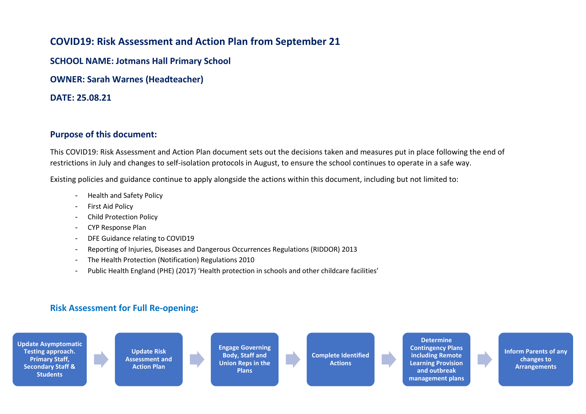## **COVID19: Risk Assessment and Action Plan from September 21**

**SCHOOL NAME: Jotmans Hall Primary School**

**OWNER: Sarah Warnes (Headteacher)**

**DATE: 25.08.21**

## **Purpose of this document:**

This COVID19: Risk Assessment and Action Plan document sets out the decisions taken and measures put in place following the end of restrictions in July and changes to self-isolation protocols in August, to ensure the school continues to operate in a safe way.

Existing policies and guidance continue to apply alongside the actions within this document, including but not limited to:

- Health and Safety Policy
- First Aid Policy
- Child Protection Policy
- CYP Response Plan
- DFE Guidance relating to COVID19
- Reporting of Injuries, Diseases and Dangerous Occurrences Regulations (RIDDOR) 2013
- The Health Protection (Notification) Regulations 2010
- Public Health England (PHE) (2017) 'Health protection in schools and other childcare facilities'

## **Risk Assessment for Full Re-opening:**



**Determine Contingency Plans including Remote Learning Provision and outbreak management plans**

**Inform Parents of any changes to Arrangements**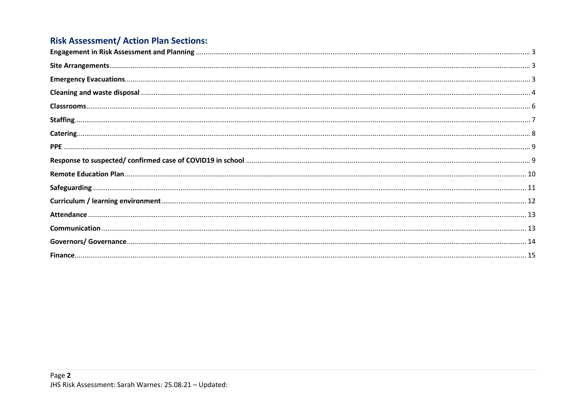## **Risk Assessment/ Action Plan Sections:**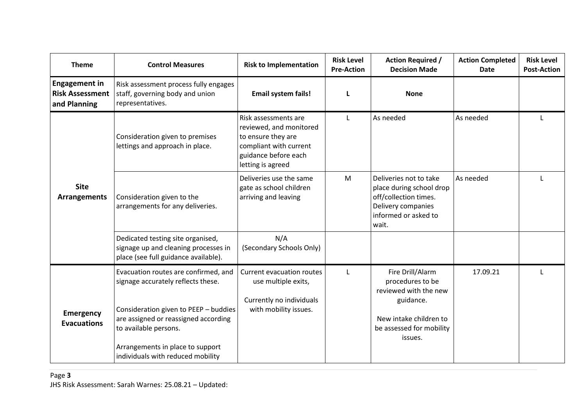<span id="page-2-2"></span><span id="page-2-1"></span><span id="page-2-0"></span>

| <b>Theme</b>                                                   | <b>Control Measures</b>                                                                                                                                                                                                                                       | <b>Risk to Implementation</b>                                                                                                                | <b>Risk Level</b><br><b>Pre-Action</b> | <b>Action Required /</b><br><b>Decision Made</b>                                                                                            | <b>Action Completed</b><br><b>Date</b> | <b>Risk Level</b><br><b>Post-Action</b> |
|----------------------------------------------------------------|---------------------------------------------------------------------------------------------------------------------------------------------------------------------------------------------------------------------------------------------------------------|----------------------------------------------------------------------------------------------------------------------------------------------|----------------------------------------|---------------------------------------------------------------------------------------------------------------------------------------------|----------------------------------------|-----------------------------------------|
| <b>Engagement in</b><br><b>Risk Assessment</b><br>and Planning | Risk assessment process fully engages<br>staff, governing body and union<br>representatives.                                                                                                                                                                  | <b>Email system fails!</b>                                                                                                                   |                                        | <b>None</b>                                                                                                                                 |                                        |                                         |
| <b>Site</b><br>Arrangements                                    | Consideration given to premises<br>lettings and approach in place.                                                                                                                                                                                            | Risk assessments are<br>reviewed, and monitored<br>to ensure they are<br>compliant with current<br>guidance before each<br>letting is agreed | $\mathbf{L}$                           | As needed                                                                                                                                   | As needed                              |                                         |
|                                                                | Consideration given to the<br>arrangements for any deliveries.                                                                                                                                                                                                | Deliveries use the same<br>gate as school children<br>arriving and leaving                                                                   | M                                      | Deliveries not to take<br>place during school drop<br>off/collection times.<br>Delivery companies<br>informed or asked to<br>wait.          | As needed                              |                                         |
|                                                                | Dedicated testing site organised,<br>signage up and cleaning processes in<br>place (see full guidance available).                                                                                                                                             | N/A<br>(Secondary Schools Only)                                                                                                              |                                        |                                                                                                                                             |                                        |                                         |
| <b>Emergency</b><br><b>Evacuations</b>                         | Evacuation routes are confirmed, and<br>signage accurately reflects these.<br>Consideration given to PEEP - buddies<br>are assigned or reassigned according<br>to available persons.<br>Arrangements in place to support<br>individuals with reduced mobility | Current evacuation routes<br>use multiple exits,<br>Currently no individuals<br>with mobility issues.                                        | $\mathbf{L}$                           | Fire Drill/Alarm<br>procedures to be<br>reviewed with the new<br>guidance.<br>New intake children to<br>be assessed for mobility<br>issues. | 17.09.21                               |                                         |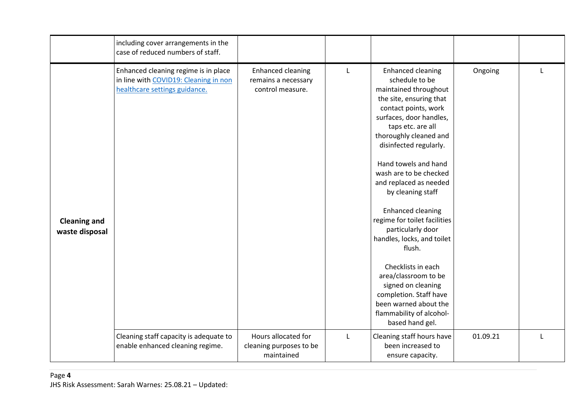<span id="page-3-0"></span>

|                                       | including cover arrangements in the<br>case of reduced numbers of staff.                                       |                                                                     |              |                                                                                                                                                                                                                                                                                                                                                                                                                                                                                                                                                                                                                            |          |  |
|---------------------------------------|----------------------------------------------------------------------------------------------------------------|---------------------------------------------------------------------|--------------|----------------------------------------------------------------------------------------------------------------------------------------------------------------------------------------------------------------------------------------------------------------------------------------------------------------------------------------------------------------------------------------------------------------------------------------------------------------------------------------------------------------------------------------------------------------------------------------------------------------------------|----------|--|
| <b>Cleaning and</b><br>waste disposal | Enhanced cleaning regime is in place<br>in line with COVID19: Cleaning in non<br>healthcare settings guidance. | <b>Enhanced cleaning</b><br>remains a necessary<br>control measure. | L            | <b>Enhanced cleaning</b><br>schedule to be<br>maintained throughout<br>the site, ensuring that<br>contact points, work<br>surfaces, door handles,<br>taps etc. are all<br>thoroughly cleaned and<br>disinfected regularly.<br>Hand towels and hand<br>wash are to be checked<br>and replaced as needed<br>by cleaning staff<br><b>Enhanced cleaning</b><br>regime for toilet facilities<br>particularly door<br>handles, locks, and toilet<br>flush.<br>Checklists in each<br>area/classroom to be<br>signed on cleaning<br>completion. Staff have<br>been warned about the<br>flammability of alcohol-<br>based hand gel. | Ongoing  |  |
|                                       | Cleaning staff capacity is adequate to<br>enable enhanced cleaning regime.                                     | Hours allocated for<br>cleaning purposes to be<br>maintained        | $\mathbf{L}$ | Cleaning staff hours have<br>been increased to<br>ensure capacity.                                                                                                                                                                                                                                                                                                                                                                                                                                                                                                                                                         | 01.09.21 |  |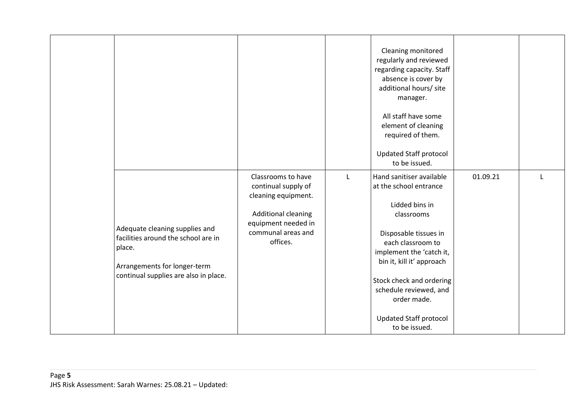|                                                                                                                                                          |                                                                                                                                                         |              | Cleaning monitored<br>regularly and reviewed<br>regarding capacity. Staff<br>absence is cover by<br>additional hours/ site<br>manager.<br>All staff have some<br>element of cleaning<br>required of them.<br><b>Updated Staff protocol</b><br>to be issued.                                                      |          |  |
|----------------------------------------------------------------------------------------------------------------------------------------------------------|---------------------------------------------------------------------------------------------------------------------------------------------------------|--------------|------------------------------------------------------------------------------------------------------------------------------------------------------------------------------------------------------------------------------------------------------------------------------------------------------------------|----------|--|
| Adequate cleaning supplies and<br>facilities around the school are in<br>place.<br>Arrangements for longer-term<br>continual supplies are also in place. | Classrooms to have<br>continual supply of<br>cleaning equipment.<br><b>Additional cleaning</b><br>equipment needed in<br>communal areas and<br>offices. | $\mathsf{L}$ | Hand sanitiser available<br>at the school entrance<br>Lidded bins in<br>classrooms<br>Disposable tissues in<br>each classroom to<br>implement the 'catch it,<br>bin it, kill it' approach<br>Stock check and ordering<br>schedule reviewed, and<br>order made.<br><b>Updated Staff protocol</b><br>to be issued. | 01.09.21 |  |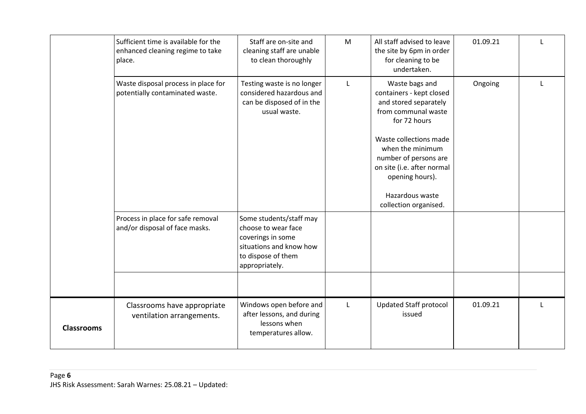<span id="page-5-0"></span>

|                   | Sufficient time is available for the<br>enhanced cleaning regime to take<br>place. | Staff are on-site and<br>cleaning staff are unable<br>to clean thoroughly                                                              | M | All staff advised to leave<br>the site by 6pm in order<br>for cleaning to be<br>undertaken.                                                                                                                                        | 01.09.21 |  |
|-------------------|------------------------------------------------------------------------------------|----------------------------------------------------------------------------------------------------------------------------------------|---|------------------------------------------------------------------------------------------------------------------------------------------------------------------------------------------------------------------------------------|----------|--|
|                   | Waste disposal process in place for<br>potentially contaminated waste.             | Testing waste is no longer<br>considered hazardous and<br>can be disposed of in the<br>usual waste.                                    | L | Waste bags and<br>containers - kept closed<br>and stored separately<br>from communal waste<br>for 72 hours<br>Waste collections made<br>when the minimum<br>number of persons are<br>on site (i.e. after normal<br>opening hours). | Ongoing  |  |
|                   |                                                                                    |                                                                                                                                        |   | Hazardous waste<br>collection organised.                                                                                                                                                                                           |          |  |
|                   | Process in place for safe removal<br>and/or disposal of face masks.                | Some students/staff may<br>choose to wear face<br>coverings in some<br>situations and know how<br>to dispose of them<br>appropriately. |   |                                                                                                                                                                                                                                    |          |  |
|                   |                                                                                    |                                                                                                                                        |   |                                                                                                                                                                                                                                    |          |  |
| <b>Classrooms</b> | Classrooms have appropriate<br>ventilation arrangements.                           | Windows open before and<br>after lessons, and during<br>lessons when<br>temperatures allow.                                            | L | <b>Updated Staff protocol</b><br>issued                                                                                                                                                                                            | 01.09.21 |  |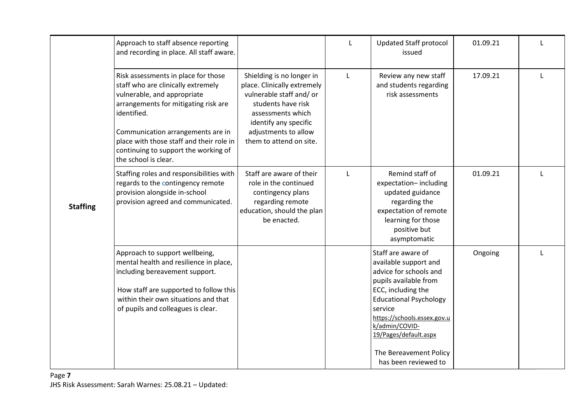<span id="page-6-0"></span>

|                 | Approach to staff absence reporting<br>and recording in place. All staff aware.                                                                                                                                                                                                                                  |                                                                                                                                                                                                             | L            | <b>Updated Staff protocol</b><br>issued                                                                                                                                                                                                                                                      | 01.09.21 |              |
|-----------------|------------------------------------------------------------------------------------------------------------------------------------------------------------------------------------------------------------------------------------------------------------------------------------------------------------------|-------------------------------------------------------------------------------------------------------------------------------------------------------------------------------------------------------------|--------------|----------------------------------------------------------------------------------------------------------------------------------------------------------------------------------------------------------------------------------------------------------------------------------------------|----------|--------------|
| <b>Staffing</b> | Risk assessments in place for those<br>staff who are clinically extremely<br>vulnerable, and appropriate<br>arrangements for mitigating risk are<br>identified.<br>Communication arrangements are in<br>place with those staff and their role in<br>continuing to support the working of<br>the school is clear. | Shielding is no longer in<br>place. Clinically extremely<br>vulnerable staff and/ or<br>students have risk<br>assessments which<br>identify any specific<br>adjustments to allow<br>them to attend on site. | $\mathbf{L}$ | Review any new staff<br>and students regarding<br>risk assessments                                                                                                                                                                                                                           | 17.09.21 |              |
|                 | Staffing roles and responsibilities with<br>regards to the contingency remote<br>provision alongside in-school<br>provision agreed and communicated.                                                                                                                                                             | Staff are aware of their<br>role in the continued<br>contingency plans<br>regarding remote<br>education, should the plan<br>be enacted.                                                                     |              | Remind staff of<br>expectation-including<br>updated guidance<br>regarding the<br>expectation of remote<br>learning for those<br>positive but<br>asymptomatic                                                                                                                                 | 01.09.21 |              |
|                 | Approach to support wellbeing,<br>mental health and resilience in place,<br>including bereavement support.<br>How staff are supported to follow this<br>within their own situations and that<br>of pupils and colleagues is clear.                                                                               |                                                                                                                                                                                                             |              | Staff are aware of<br>available support and<br>advice for schools and<br>pupils available from<br>ECC, including the<br><b>Educational Psychology</b><br>service<br>https://schools.essex.gov.u<br>k/admin/COVID-<br>19/Pages/default.aspx<br>The Bereavement Policy<br>has been reviewed to | Ongoing  | $\mathbf{I}$ |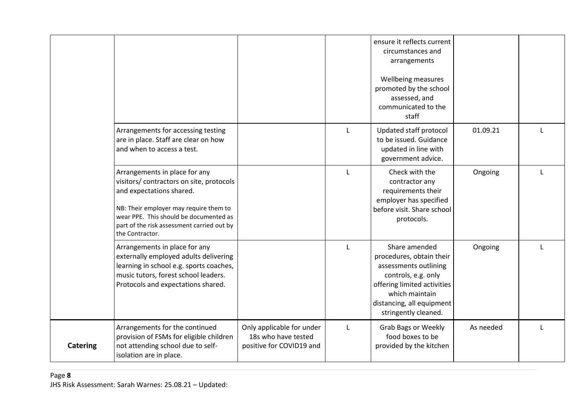<span id="page-7-0"></span>

|                 |                                                                                                                                                                                                                                                            |                                                                              |   | ensure it reflects current<br>circumstances and<br>arrangements<br>Wellbeing measures<br>promoted by the school<br>assessed, and<br>communicated to the<br>staff                                |           |              |
|-----------------|------------------------------------------------------------------------------------------------------------------------------------------------------------------------------------------------------------------------------------------------------------|------------------------------------------------------------------------------|---|-------------------------------------------------------------------------------------------------------------------------------------------------------------------------------------------------|-----------|--------------|
|                 | Arrangements for accessing testing<br>are in place. Staff are clear on how<br>and when to access a test.                                                                                                                                                   |                                                                              | L | Updated staff protocol<br>to be issued. Guidance<br>updated in line with<br>government advice.                                                                                                  | 01.09.21  | $\mathbf{I}$ |
|                 | Arrangements in place for any<br>visitors/ contractors on site, protocols<br>and expectations shared.<br>NB: Their employer may require them to<br>wear PPE. This should be documented as<br>part of the risk assessment carried out by<br>the Contractor. |                                                                              |   | Check with the<br>contractor any<br>requirements their<br>employer has specified<br>before visit. Share school<br>protocols.                                                                    | Ongoing   |              |
|                 | Arrangements in place for any<br>externally employed adults delivering<br>learning in school e.g. sports coaches,<br>music tutors, forest school leaders.<br>Protocols and expectations shared.                                                            |                                                                              |   | Share amended<br>procedures, obtain their<br>assessments outlining<br>controls, e.g. only<br>offering limited activities<br>which maintain<br>distancing, all equipment<br>stringently cleaned. | Ongoing   |              |
| <b>Catering</b> | Arrangements for the continued<br>provision of FSMs for eligible children<br>not attending school due to self-<br>isolation are in place.                                                                                                                  | Only applicable for under<br>18s who have tested<br>positive for COVID19 and | L | <b>Grab Bags or Weekly</b><br>food boxes to be<br>provided by the kitchen                                                                                                                       | As needed |              |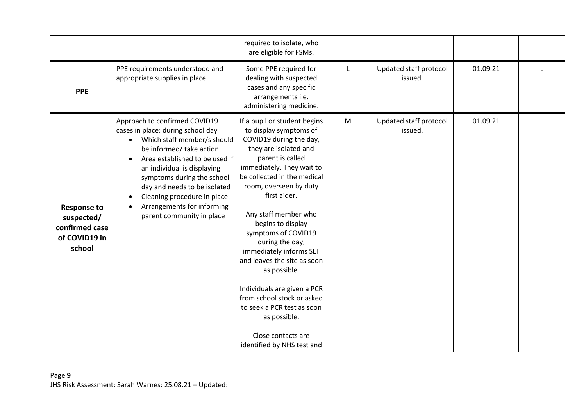<span id="page-8-1"></span><span id="page-8-0"></span>

|                                                                               |                                                                                                                                                                                                                                                                                                                                                        | required to isolate, who<br>are eligible for FSMs.                                                                                                                                                                                                                                                                                                                                                                                                                                                                                                                   |           |                                   |          |  |
|-------------------------------------------------------------------------------|--------------------------------------------------------------------------------------------------------------------------------------------------------------------------------------------------------------------------------------------------------------------------------------------------------------------------------------------------------|----------------------------------------------------------------------------------------------------------------------------------------------------------------------------------------------------------------------------------------------------------------------------------------------------------------------------------------------------------------------------------------------------------------------------------------------------------------------------------------------------------------------------------------------------------------------|-----------|-----------------------------------|----------|--|
| <b>PPE</b>                                                                    | PPE requirements understood and<br>appropriate supplies in place.                                                                                                                                                                                                                                                                                      | Some PPE required for<br>dealing with suspected<br>cases and any specific<br>arrangements i.e.<br>administering medicine.                                                                                                                                                                                                                                                                                                                                                                                                                                            |           | Updated staff protocol<br>issued. | 01.09.21 |  |
| <b>Response to</b><br>suspected/<br>confirmed case<br>of COVID19 in<br>school | Approach to confirmed COVID19<br>cases in place: during school day<br>Which staff member/s should<br>be informed/ take action<br>Area established to be used if<br>an individual is displaying<br>symptoms during the school<br>day and needs to be isolated<br>Cleaning procedure in place<br>Arrangements for informing<br>parent community in place | If a pupil or student begins<br>to display symptoms of<br>COVID19 during the day,<br>they are isolated and<br>parent is called<br>immediately. They wait to<br>be collected in the medical<br>room, overseen by duty<br>first aider.<br>Any staff member who<br>begins to display<br>symptoms of COVID19<br>during the day,<br>immediately informs SLT<br>and leaves the site as soon<br>as possible.<br>Individuals are given a PCR<br>from school stock or asked<br>to seek a PCR test as soon<br>as possible.<br>Close contacts are<br>identified by NHS test and | ${\sf M}$ | Updated staff protocol<br>issued. | 01.09.21 |  |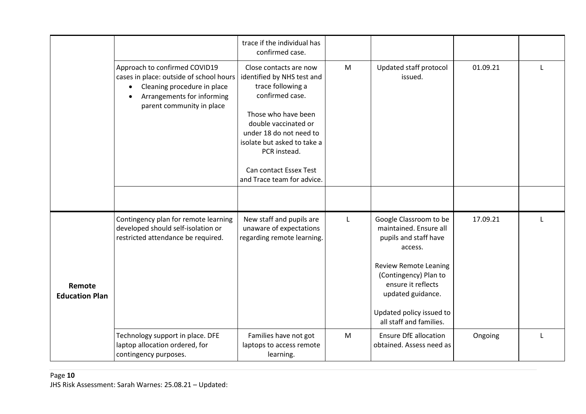<span id="page-9-0"></span>

|                                 |                                                                                                                                                                                              | trace if the individual has<br>confirmed case.                                                                                                                                                                                                                                |   |                                                                                                                                                                                                                                                 |          |              |
|---------------------------------|----------------------------------------------------------------------------------------------------------------------------------------------------------------------------------------------|-------------------------------------------------------------------------------------------------------------------------------------------------------------------------------------------------------------------------------------------------------------------------------|---|-------------------------------------------------------------------------------------------------------------------------------------------------------------------------------------------------------------------------------------------------|----------|--------------|
|                                 | Approach to confirmed COVID19<br>cases in place: outside of school hours<br>Cleaning procedure in place<br>$\bullet$<br>Arrangements for informing<br>$\bullet$<br>parent community in place | Close contacts are now<br>identified by NHS test and<br>trace following a<br>confirmed case.<br>Those who have been<br>double vaccinated or<br>under 18 do not need to<br>isolate but asked to take a<br>PCR instead.<br>Can contact Essex Test<br>and Trace team for advice. | M | Updated staff protocol<br>issued.                                                                                                                                                                                                               | 01.09.21 | L            |
|                                 |                                                                                                                                                                                              |                                                                                                                                                                                                                                                                               |   |                                                                                                                                                                                                                                                 |          |              |
| Remote<br><b>Education Plan</b> | Contingency plan for remote learning<br>developed should self-isolation or<br>restricted attendance be required.                                                                             | New staff and pupils are<br>unaware of expectations<br>regarding remote learning.                                                                                                                                                                                             | L | Google Classroom to be<br>maintained. Ensure all<br>pupils and staff have<br>access.<br><b>Review Remote Leaning</b><br>(Contingency) Plan to<br>ensure it reflects<br>updated guidance.<br>Updated policy issued to<br>all staff and families. | 17.09.21 | $\mathbf{I}$ |
|                                 | Technology support in place. DFE<br>laptop allocation ordered, for<br>contingency purposes.                                                                                                  | Families have not got<br>laptops to access remote<br>learning.                                                                                                                                                                                                                | M | <b>Ensure DfE allocation</b><br>obtained. Assess need as                                                                                                                                                                                        | Ongoing  | $\mathbf{I}$ |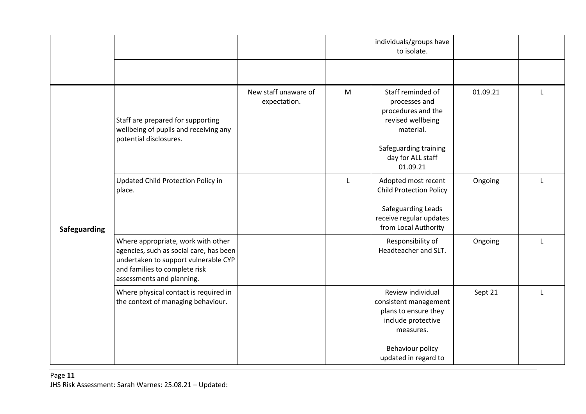<span id="page-10-0"></span>

|              |                                                                                                                                                                                     |                                      |   | individuals/groups have<br>to isolate.                                                                                                               |          |   |
|--------------|-------------------------------------------------------------------------------------------------------------------------------------------------------------------------------------|--------------------------------------|---|------------------------------------------------------------------------------------------------------------------------------------------------------|----------|---|
|              |                                                                                                                                                                                     |                                      |   |                                                                                                                                                      |          |   |
| Safeguarding | Staff are prepared for supporting<br>wellbeing of pupils and receiving any<br>potential disclosures.                                                                                | New staff unaware of<br>expectation. | M | Staff reminded of<br>processes and<br>procedures and the<br>revised wellbeing<br>material.<br>Safeguarding training<br>day for ALL staff<br>01.09.21 | 01.09.21 |   |
|              | Updated Child Protection Policy in<br>place.                                                                                                                                        |                                      | L | Adopted most recent<br><b>Child Protection Policy</b><br>Safeguarding Leads<br>receive regular updates<br>from Local Authority                       | Ongoing  |   |
|              | Where appropriate, work with other<br>agencies, such as social care, has been<br>undertaken to support vulnerable CYP<br>and families to complete risk<br>assessments and planning. |                                      |   | Responsibility of<br>Headteacher and SLT.                                                                                                            | Ongoing  | L |
|              | Where physical contact is required in<br>the context of managing behaviour.                                                                                                         |                                      |   | Review individual<br>consistent management<br>plans to ensure they<br>include protective<br>measures.<br>Behaviour policy<br>updated in regard to    | Sept 21  | L |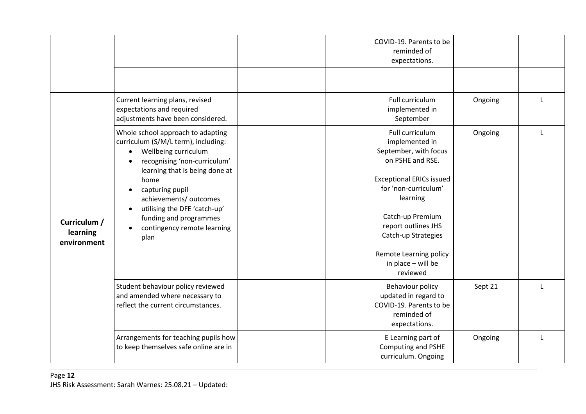<span id="page-11-0"></span>

|                                         |                                                                                                                                                                                                                                                                                                                                                    | COVID-19. Parents to be<br>reminded of<br>expectations.                                                                                                                                                                                                                             |         |              |
|-----------------------------------------|----------------------------------------------------------------------------------------------------------------------------------------------------------------------------------------------------------------------------------------------------------------------------------------------------------------------------------------------------|-------------------------------------------------------------------------------------------------------------------------------------------------------------------------------------------------------------------------------------------------------------------------------------|---------|--------------|
|                                         |                                                                                                                                                                                                                                                                                                                                                    |                                                                                                                                                                                                                                                                                     |         |              |
|                                         | Current learning plans, revised<br>expectations and required<br>adjustments have been considered.                                                                                                                                                                                                                                                  | Full curriculum<br>implemented in<br>September                                                                                                                                                                                                                                      | Ongoing |              |
| Curriculum /<br>learning<br>environment | Whole school approach to adapting<br>curriculum (S/M/L term), including:<br>Wellbeing curriculum<br>$\bullet$<br>recognising 'non-curriculum'<br>learning that is being done at<br>home<br>capturing pupil<br>$\bullet$<br>achievements/ outcomes<br>utilising the DFE 'catch-up'<br>funding and programmes<br>contingency remote learning<br>plan | Full curriculum<br>implemented in<br>September, with focus<br>on PSHE and RSE.<br><b>Exceptional ERICs issued</b><br>for 'non-curriculum'<br>learning<br>Catch-up Premium<br>report outlines JHS<br>Catch-up Strategies<br>Remote Learning policy<br>in place - will be<br>reviewed | Ongoing | L            |
|                                         | Student behaviour policy reviewed<br>and amended where necessary to<br>reflect the current circumstances.                                                                                                                                                                                                                                          | Behaviour policy<br>updated in regard to<br>COVID-19. Parents to be<br>reminded of<br>expectations.                                                                                                                                                                                 | Sept 21 |              |
|                                         | Arrangements for teaching pupils how<br>to keep themselves safe online are in                                                                                                                                                                                                                                                                      | E Learning part of<br>Computing and PSHE<br>curriculum. Ongoing                                                                                                                                                                                                                     | Ongoing | $\mathbf{I}$ |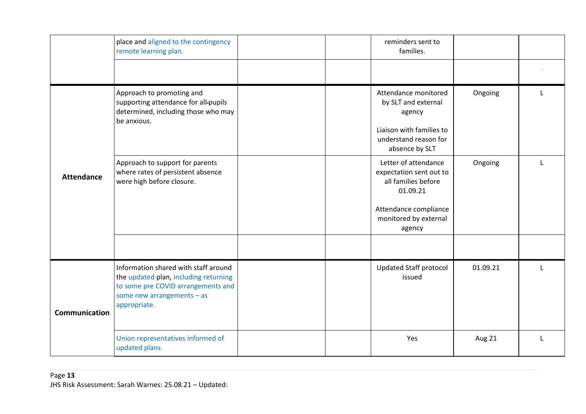<span id="page-12-1"></span><span id="page-12-0"></span>

|                      | place and aligned to the contingency<br>remote learning plan.                                                                                                     | reminders sent to<br>families.                                                                                                                 |          |              |
|----------------------|-------------------------------------------------------------------------------------------------------------------------------------------------------------------|------------------------------------------------------------------------------------------------------------------------------------------------|----------|--------------|
|                      |                                                                                                                                                                   |                                                                                                                                                |          |              |
| <b>Attendance</b>    | Approach to promoting and<br>supporting attendance for all-pupils<br>determined, including those who may<br>be anxious.                                           | Attendance monitored<br>by SLT and external<br>agency<br>Liaison with families to<br>understand reason for<br>absence by SLT                   | Ongoing  |              |
|                      | Approach to support for parents<br>where rates of persistent absence<br>were high before closure.                                                                 | Letter of attendance<br>expectation sent out to<br>all families before<br>01.09.21<br>Attendance compliance<br>monitored by external<br>agency | Ongoing  |              |
|                      |                                                                                                                                                                   |                                                                                                                                                |          |              |
| <b>Communication</b> | Information shared with staff around<br>the updated plan, including returning<br>to some pre COVID arrangements and<br>some new arrangements - as<br>appropriate. | Updated Staff protocol<br>issued                                                                                                               | 01.09.21 | $\mathbf{L}$ |
|                      | Union representatives informed of<br>updated plans.                                                                                                               | Yes                                                                                                                                            | Aug 21   |              |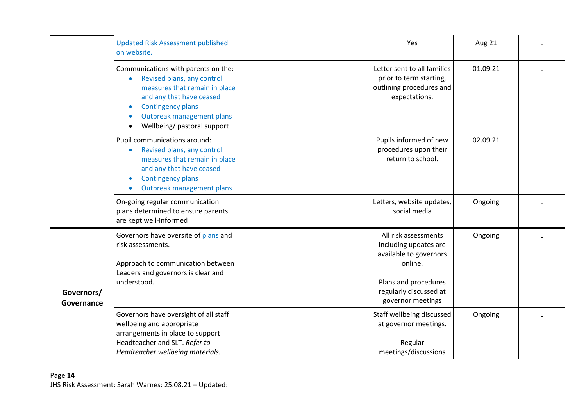<span id="page-13-0"></span>

|                          | <b>Updated Risk Assessment published</b><br>on website.                                                                                                                                                                | Yes                                                                                                                                                       | Aug 21   |   |
|--------------------------|------------------------------------------------------------------------------------------------------------------------------------------------------------------------------------------------------------------------|-----------------------------------------------------------------------------------------------------------------------------------------------------------|----------|---|
|                          | Communications with parents on the:<br>Revised plans, any control<br>measures that remain in place<br>and any that have ceased<br><b>Contingency plans</b><br>Outbreak management plans<br>Wellbeing/ pastoral support | Letter sent to all families<br>prior to term starting,<br>outlining procedures and<br>expectations.                                                       | 01.09.21 |   |
|                          | Pupil communications around:<br>Revised plans, any control<br>measures that remain in place<br>and any that have ceased<br><b>Contingency plans</b><br>Outbreak management plans                                       | Pupils informed of new<br>procedures upon their<br>return to school.                                                                                      | 02.09.21 |   |
|                          | On-going regular communication<br>plans determined to ensure parents<br>are kept well-informed                                                                                                                         | Letters, website updates,<br>social media                                                                                                                 | Ongoing  | L |
| Governors/<br>Governance | Governors have oversite of plans and<br>risk assessments.<br>Approach to communication between<br>Leaders and governors is clear and<br>understood.                                                                    | All risk assessments<br>including updates are<br>available to governors<br>online.<br>Plans and procedures<br>regularly discussed at<br>governor meetings | Ongoing  | L |
|                          | Governors have oversight of all staff<br>wellbeing and appropriate<br>arrangements in place to support<br>Headteacher and SLT. Refer to<br>Headteacher wellbeing materials.                                            | Staff wellbeing discussed<br>at governor meetings.<br>Regular<br>meetings/discussions                                                                     | Ongoing  |   |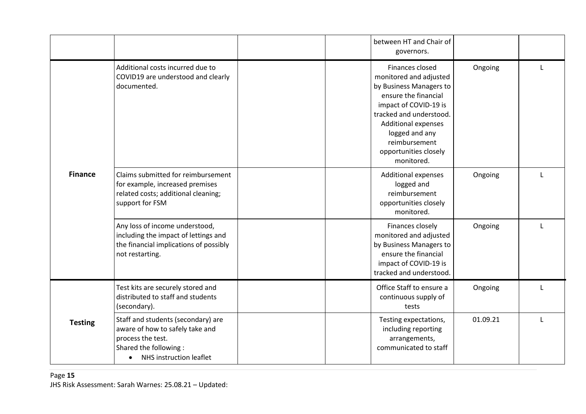<span id="page-14-0"></span>

|                |                                                                                                                                                             | between HT and Chair of<br>governors.                                                                                                                                                                                                                    |          |   |
|----------------|-------------------------------------------------------------------------------------------------------------------------------------------------------------|----------------------------------------------------------------------------------------------------------------------------------------------------------------------------------------------------------------------------------------------------------|----------|---|
| <b>Finance</b> | Additional costs incurred due to<br>COVID19 are understood and clearly<br>documented.                                                                       | Finances closed<br>monitored and adjusted<br>by Business Managers to<br>ensure the financial<br>impact of COVID-19 is<br>tracked and understood.<br><b>Additional expenses</b><br>logged and any<br>reimbursement<br>opportunities closely<br>monitored. | Ongoing  |   |
|                | Claims submitted for reimbursement<br>for example, increased premises<br>related costs; additional cleaning;<br>support for FSM                             | <b>Additional expenses</b><br>logged and<br>reimbursement<br>opportunities closely<br>monitored.                                                                                                                                                         | Ongoing  | L |
|                | Any loss of income understood,<br>including the impact of lettings and<br>the financial implications of possibly<br>not restarting.                         | Finances closely<br>monitored and adjusted<br>by Business Managers to<br>ensure the financial<br>impact of COVID-19 is<br>tracked and understood.                                                                                                        | Ongoing  | L |
| <b>Testing</b> | Test kits are securely stored and<br>distributed to staff and students<br>(secondary).                                                                      | Office Staff to ensure a<br>continuous supply of<br>tests                                                                                                                                                                                                | Ongoing  |   |
|                | Staff and students (secondary) are<br>aware of how to safely take and<br>process the test.<br>Shared the following:<br>NHS instruction leaflet<br>$\bullet$ | Testing expectations,<br>including reporting<br>arrangements,<br>communicated to staff                                                                                                                                                                   | 01.09.21 | L |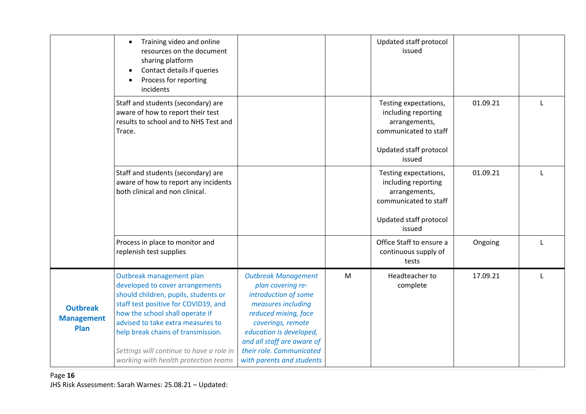|                                              | Training video and online<br>resources on the document<br>sharing platform<br>Contact details if queries<br>Process for reporting<br>incidents                                                                                                                                                                                                |                                                                                                                                                                                                                                                              |   | Updated staff protocol<br>issued                                                                                           |          |              |
|----------------------------------------------|-----------------------------------------------------------------------------------------------------------------------------------------------------------------------------------------------------------------------------------------------------------------------------------------------------------------------------------------------|--------------------------------------------------------------------------------------------------------------------------------------------------------------------------------------------------------------------------------------------------------------|---|----------------------------------------------------------------------------------------------------------------------------|----------|--------------|
|                                              | Staff and students (secondary) are<br>aware of how to report their test<br>results to school and to NHS Test and<br>Trace.                                                                                                                                                                                                                    |                                                                                                                                                                                                                                                              |   | Testing expectations,<br>including reporting<br>arrangements,<br>communicated to staff<br>Updated staff protocol<br>issued | 01.09.21 |              |
|                                              | Staff and students (secondary) are<br>aware of how to report any incidents<br>both clinical and non clinical.                                                                                                                                                                                                                                 |                                                                                                                                                                                                                                                              |   | Testing expectations,<br>including reporting<br>arrangements,<br>communicated to staff<br>Updated staff protocol<br>issued | 01.09.21 | $\mathbf{L}$ |
|                                              | Process in place to monitor and<br>replenish test supplies                                                                                                                                                                                                                                                                                    |                                                                                                                                                                                                                                                              |   | Office Staff to ensure a<br>continuous supply of<br>tests                                                                  | Ongoing  | $\mathbf{I}$ |
| <b>Outbreak</b><br><b>Management</b><br>Plan | Outbreak management plan<br>developed to cover arrangements<br>should children, pupils, students or<br>staff test positive for COVID19, and<br>how the school shall operate if<br>advised to take extra measures to<br>help break chains of transmission.<br>Settings will continue to have a role in<br>working with health protection teams | <b>Outbreak Management</b><br>plan covering re-<br>introduction of some<br>measures including<br>reduced mixing, face<br>coverings, remote<br>education is developed,<br>and all staff are aware of<br>their role. Communicated<br>with parents and students | M | Headteacher to<br>complete                                                                                                 | 17.09.21 |              |